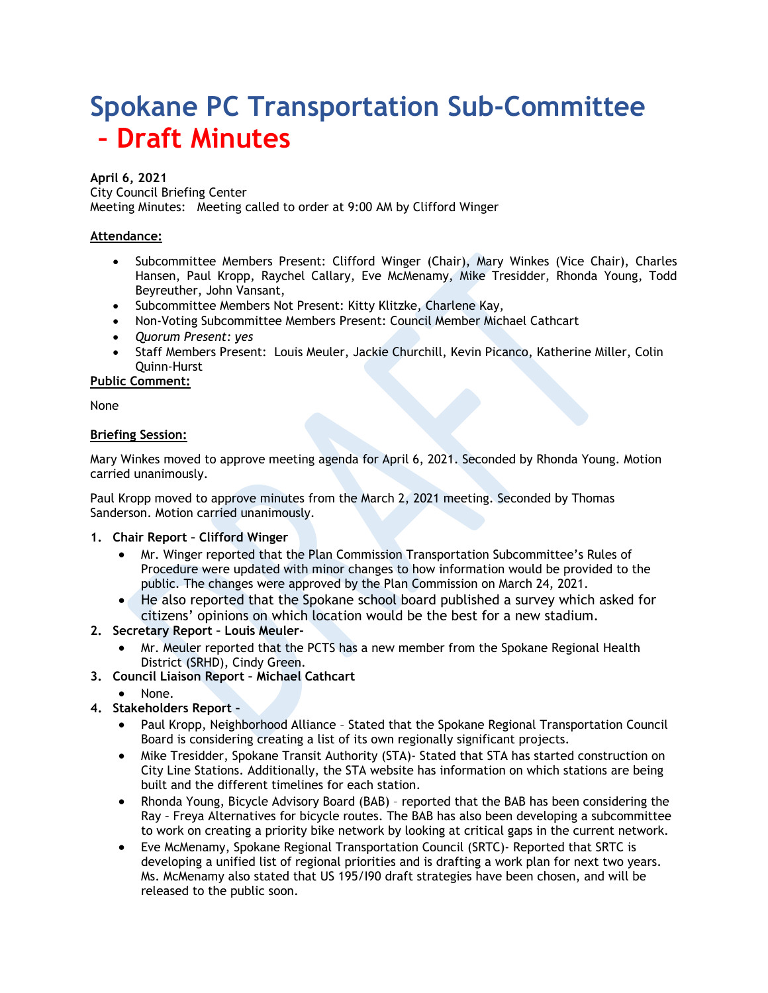# **Spokane PC Transportation Sub-Committee – Draft Minutes**

#### **April 6, 2021**

City Council Briefing Center

Meeting Minutes: Meeting called to order at 9:00 AM by Clifford Winger

## **Attendance:**

- Subcommittee Members Present: Clifford Winger (Chair), Mary Winkes (Vice Chair), Charles Hansen, Paul Kropp, Raychel Callary, Eve McMenamy, Mike Tresidder, Rhonda Young, Todd Beyreuther, John Vansant,
- Subcommittee Members Not Present: Kitty Klitzke, Charlene Kay,
- Non-Voting Subcommittee Members Present: Council Member Michael Cathcart
- *Quorum Present: yes*
- Staff Members Present: Louis Meuler, Jackie Churchill, Kevin Picanco, Katherine Miller, Colin Quinn-Hurst

**Public Comment:**

None

## **Briefing Session:**

Mary Winkes moved to approve meeting agenda for April 6, 2021. Seconded by Rhonda Young. Motion carried unanimously.

Paul Kropp moved to approve minutes from the March 2, 2021 meeting. Seconded by Thomas Sanderson. Motion carried unanimously.

#### **1. Chair Report – Clifford Winger**

- Mr. Winger reported that the Plan Commission Transportation Subcommittee's Rules of Procedure were updated with minor changes to how information would be provided to the public. The changes were approved by the Plan Commission on March 24, 2021.
- He also reported that the Spokane school board published a survey which asked for citizens' opinions on which location would be the best for a new stadium.

# **2. Secretary Report – Louis Meuler-**

- Mr. Meuler reported that the PCTS has a new member from the Spokane Regional Health District (SRHD), Cindy Green.
- **3. Council Liaison Report – Michael Cathcart**
	- None.
- **4. Stakeholders Report –**
	- Paul Kropp, Neighborhood Alliance Stated that the Spokane Regional Transportation Council Board is considering creating a list of its own regionally significant projects.
	- Mike Tresidder, Spokane Transit Authority (STA)- Stated that STA has started construction on City Line Stations. Additionally, the STA website has information on which stations are being built and the different timelines for each station.
	- Rhonda Young, Bicycle Advisory Board (BAB) reported that the BAB has been considering the Ray – Freya Alternatives for bicycle routes. The BAB has also been developing a subcommittee to work on creating a priority bike network by looking at critical gaps in the current network.
	- Eve McMenamy, Spokane Regional Transportation Council (SRTC)- Reported that SRTC is developing a unified list of regional priorities and is drafting a work plan for next two years. Ms. McMenamy also stated that US 195/I90 draft strategies have been chosen, and will be released to the public soon.